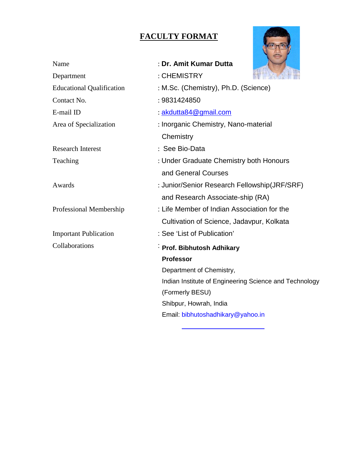# **FACULTY FORMAT**



| Name                             | : Dr. Amit Kumar Dutta                                 |  |  |  |  |  |
|----------------------------------|--------------------------------------------------------|--|--|--|--|--|
| Department                       | : CHEMISTRY                                            |  |  |  |  |  |
| <b>Educational Qualification</b> | : M.Sc. (Chemistry), Ph.D. (Science)                   |  |  |  |  |  |
| Contact No.                      | : 9831424850                                           |  |  |  |  |  |
| E-mail ID                        | : akdutta84@gmail.com                                  |  |  |  |  |  |
| Area of Specialization           | : Inorganic Chemistry, Nano-material                   |  |  |  |  |  |
|                                  | Chemistry                                              |  |  |  |  |  |
| <b>Research Interest</b>         | : See Bio-Data                                         |  |  |  |  |  |
| Teaching                         | : Under Graduate Chemistry both Honours                |  |  |  |  |  |
|                                  | and General Courses                                    |  |  |  |  |  |
| Awards                           | : Junior/Senior Research Fellowship(JRF/SRF)           |  |  |  |  |  |
|                                  | and Research Associate-ship (RA)                       |  |  |  |  |  |
| Professional Membership          | : Life Member of Indian Association for the            |  |  |  |  |  |
|                                  | Cultivation of Science, Jadavpur, Kolkata              |  |  |  |  |  |
| <b>Important Publication</b>     | : See 'List of Publication'                            |  |  |  |  |  |
| Collaborations                   | Prof. Bibhutosh Adhikary                               |  |  |  |  |  |
|                                  | <b>Professor</b>                                       |  |  |  |  |  |
|                                  | Department of Chemistry,                               |  |  |  |  |  |
|                                  | Indian Institute of Engineering Science and Technology |  |  |  |  |  |
|                                  | (Formerly BESU)                                        |  |  |  |  |  |
|                                  | Shibpur, Howrah, India                                 |  |  |  |  |  |
|                                  | Email: bibhutoshadhikary@yahoo.in                      |  |  |  |  |  |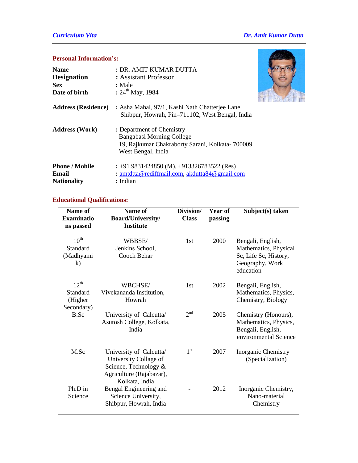## *Curriculum Vita Dr. Amit Kumar Dutta*

## **Personal Information's:**

| <b>Name</b><br><b>Designation</b><br><b>Sex</b><br>Date of birth | : DR. AMIT KUMAR DUTTA<br>: Assistant Professor<br>: Male<br>: $24^{th}$ May, 1984                                               |  |
|------------------------------------------------------------------|----------------------------------------------------------------------------------------------------------------------------------|--|
| <b>Address (Residence)</b>                                       | : Asha Mahal, 97/1, Kashi Nath Chatterjee Lane,<br>Shibpur, Howrah, Pin-711102, West Bengal, India                               |  |
| <b>Address (Work)</b>                                            | : Department of Chemistry<br>Bangabasi Morning College<br>19, Rajkumar Chakraborty Sarani, Kolkata- 700009<br>West Bengal, India |  |
| <b>Phone / Mobile</b><br>Email<br><b>Nationality</b>             | : +91 9831424850 (M), +913326783522 (Res)<br>: amtdtta@rediffmail.com, akdutta84@gmail.com<br>: Indian                           |  |

## **Educational Qualifications:**

| Name of<br><b>Examinatio</b><br>ns passed             | Name of<br><b>Board/University/</b><br><b>Institute</b>                                                                 | Division/<br><b>Class</b> | Year of<br>passing | Subject(s) taken                                                                                    |
|-------------------------------------------------------|-------------------------------------------------------------------------------------------------------------------------|---------------------------|--------------------|-----------------------------------------------------------------------------------------------------|
| $10^{\text{th}}$<br>Standard<br>(Madhyami<br>$\bf k)$ | WBBSE/<br>Jenkins School,<br>Cooch Behar                                                                                | 1st                       | 2000               | Bengali, English,<br>Mathematics, Physical<br>Sc, Life Sc, History,<br>Geography, Work<br>education |
| $12^{th}$<br>Standard<br>(Higher<br>Secondary)        | WBCHSE/<br>Vivekananda Institution,<br>Howrah                                                                           | 1st                       | 2002               | Bengali, English,<br>Mathematics, Physics,<br>Chemistry, Biology                                    |
| B.Sc                                                  | University of Calcutta/<br>Asutosh College, Kolkata,<br>India                                                           | $2^{nd}$                  | 2005               | Chemistry (Honours),<br>Mathematics, Physics,<br>Bengali, English,<br>environmental Science         |
| M.Sc                                                  | University of Calcutta/<br>University Collage of<br>Science, Technology &<br>Agriculture (Rajabazar),<br>Kolkata, India | $1^{\rm st}$              | 2007               | <b>Inorganic Chemistry</b><br>(Specialization)                                                      |
| Ph.D in<br>Science                                    | Bengal Engineering and<br>Science University,<br>Shibpur, Howrah, India                                                 |                           | 2012               | Inorganic Chemistry,<br>Nano-material<br>Chemistry                                                  |

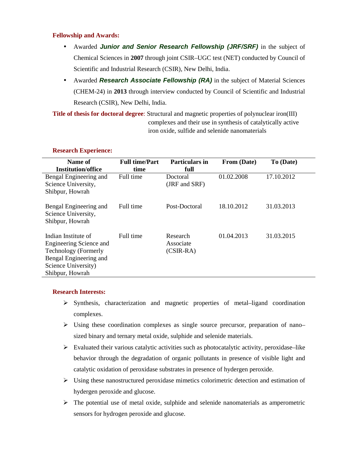### **Fellowship and Awards:**

- Awarded *Junior and Senior Research Fellowship (JRF/SRF)* in the subject of Chemical Sciences in **2007** through joint CSIR–UGC test (NET) conducted by Council of Scientific and Industrial Research (CSIR), New Delhi, India.
- Awarded **Research Associate Fellowship (RA)** in the subject of Material Sciences (CHEM-24) in **2013** through interview conducted by Council of Scientific and Industrial Research (CSIR), New Delhi, India.

**Title of thesis for doctoral degree**: Structural and magnetic properties of polynuclear iron(III) complexes and their use in synthesis of catalytically active iron oxide, sulfide and selenide nanomaterials

#### **Research Experience:**

| Name of                                                                                                                                           | <b>Full time/Part</b> | <b>Particulars in</b>                | From (Date) | To (Date)  |
|---------------------------------------------------------------------------------------------------------------------------------------------------|-----------------------|--------------------------------------|-------------|------------|
| <b>Institution/office</b>                                                                                                                         | time                  | full                                 |             |            |
| Bengal Engineering and<br>Science University,<br>Shibpur, Howrah                                                                                  | Full time             | Doctoral<br>(JRF and SRF)            | 01.02.2008  | 17.10.2012 |
| Bengal Engineering and<br>Science University,<br>Shibpur, Howrah                                                                                  | Full time             | Post-Doctoral                        | 18.10.2012  | 31.03.2013 |
| Indian Institute of<br>Engineering Science and<br><b>Technology</b> (Formerly<br>Bengal Engineering and<br>Science University)<br>Shibpur, Howrah | Full time             | Research<br>Associate<br>$(CSIR-RA)$ | 01.04.2013  | 31.03.2015 |

### **Research Interests:**

- $\triangleright$  Synthesis, characterization and magnetic properties of metal–ligand coordination complexes.
- Using these coordination complexes as single source precursor, preparation of nano– sized binary and ternary metal oxide, sulphide and selenide materials.
- $\triangleright$  Evaluated their various catalytic activities such as photocatalytic activity, peroxidase–like behavior through the degradation of organic pollutants in presence of visible light and catalytic oxidation of peroxidase substrates in presence of hydergen peroxide.
- Using these nanostructured peroxidase mimetics colorimetric detection and estimation of hydergen peroxide and glucose.
- $\triangleright$  The potential use of metal oxide, sulphide and selenide nanomaterials as amperometric sensors for hydrogen peroxide and glucose.